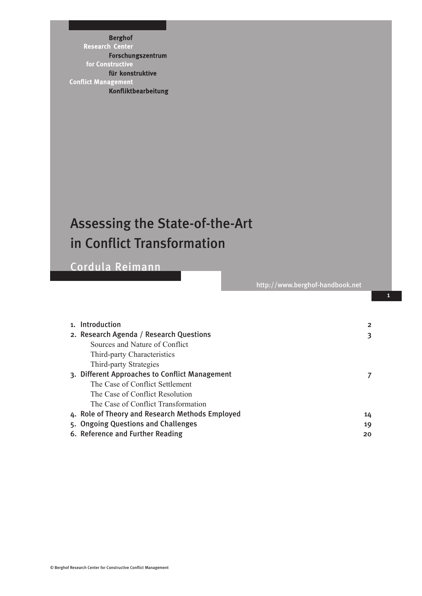#### **Berghof**

**Research Center** Forschungszentrum for Constructive für konstruktive **Conflict Management** Konfliktbearbeitung

# Assessing the State-of-the-Art in Conflict Transformation

Cordula Reimann

http://www.berghof-handbook.net

1

| 1. Introduction                                 | $\overline{2}$ |
|-------------------------------------------------|----------------|
| 2. Research Agenda / Research Questions         | 3              |
| Sources and Nature of Conflict                  |                |
| Third-party Characteristics                     |                |
| Third-party Strategies                          |                |
| 3. Different Approaches to Conflict Management  |                |
| The Case of Conflict Settlement                 |                |
| The Case of Conflict Resolution                 |                |
| The Case of Conflict Transformation             |                |
| 4. Role of Theory and Research Methods Employed | 14             |
| 5. Ongoing Questions and Challenges             | 19             |
| 6. Reference and Further Reading                | 20             |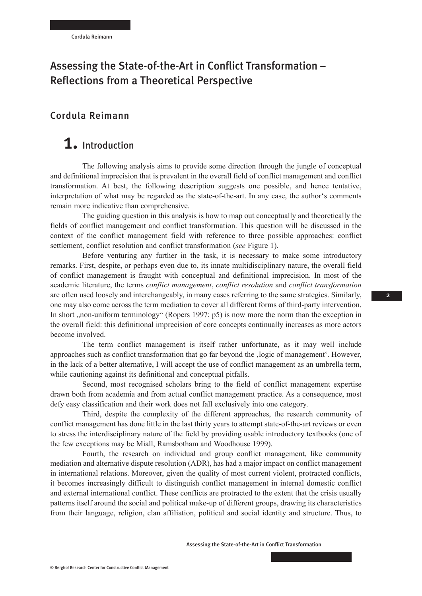## Assessing the State-of-the-Art in Conflict Transformation – Reflections from a Theoretical Perspective

### Cordula Reimann

## 1. Introduction

The following analysis aims to provide some direction through the jungle of conceptual and definitional imprecision that is prevalent in the overall field of conflict management and conflict transformation. At best, the following description suggests one possible, and hence tentative, interpretation of what may be regarded as the state-of-the-art. In any case, the author's comments remain more indicative than comprehensive.

The guiding question in this analysis is how to map out conceptually and theoretically the fields of conflict management and conflict transformation. This question will be discussed in the context of the conflict management field with reference to three possible approaches: conflict settlement, conflict resolution and conflict transformation (*see* Figure 1).

Before venturing any further in the task, it is necessary to make some introductory remarks. First, despite, or perhaps even due to, its innate multidisciplinary nature, the overall field of conflict management is fraught with conceptual and definitional imprecision. In most of the academic literature, the terms *conflict management*, *conflict resolution* and *conflict transformation*  are often used loosely and interchangeably, in many cases referring to the same strategies. Similarly, one may also come across the term mediation to cover all different forms of third-party intervention. In short , non-uniform terminology" (Ropers 1997; p5) is now more the norm than the exception in the overall field: this definitional imprecision of core concepts continually increases as more actors become involved.

The term conflict management is itself rather unfortunate, as it may well include approaches such as conflict transformation that go far beyond the , logic of management'. However, in the lack of a better alternative, I will accept the use of conflict management as an umbrella term, while cautioning against its definitional and conceptual pitfalls.

Second, most recognised scholars bring to the field of conflict management expertise drawn both from academia and from actual conflict management practice. As a consequence, most defy easy classification and their work does not fall exclusively into one category.

Third, despite the complexity of the different approaches, the research community of conflict management has done little in the last thirty years to attempt state-of-the-art reviews or even to stress the interdisciplinary nature of the field by providing usable introductory textbooks (one of the few exceptions may be Miall, Ramsbotham and Woodhouse 1999).

Fourth, the research on individual and group conflict management, like community mediation and alternative dispute resolution (ADR), has had a major impact on conflict management in international relations. Moreover, given the quality of most current violent, protracted conflicts, it becomes increasingly difficult to distinguish conflict management in internal domestic conflict and external international conflict. These conflicts are protracted to the extent that the crisis usually patterns itself around the social and political make-up of different groups, drawing its characteristics from their language, religion, clan affiliation, political and social identity and structure. Thus, to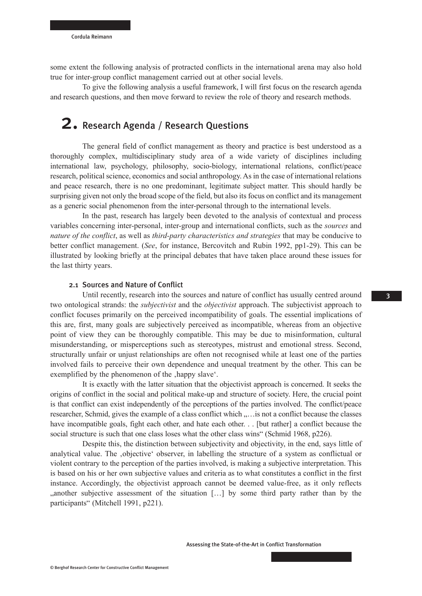some extent the following analysis of protracted conflicts in the international arena may also hold true for inter-group conflict management carried out at other social levels.

To give the following analysis a useful framework, I will first focus on the research agenda and research questions, and then move forward to review the role of theory and research methods.

## 2. Research Agenda / Research Questions

The general field of conflict management as theory and practice is best understood as a thoroughly complex, multidisciplinary study area of a wide variety of disciplines including international law, psychology, philosophy, socio-biology, international relations, conflict/peace research, political science, economics and social anthropology. As in the case of international relations and peace research, there is no one predominant, legitimate subject matter. This should hardly be surprising given not only the broad scope of the field, but also its focus on conflict and its management as a generic social phenomenon from the inter-personal through to the international levels.

In the past, research has largely been devoted to the analysis of contextual and process variables concerning inter-personal, inter-group and international conflicts, such as the *sources* and *nature of the conflict*, as well as *third-party characteristics and strategies* that may be conducive to better conflict management. (*See*, for instance, Bercovitch and Rubin 1992, pp1-29). This can be illustrated by looking briefly at the principal debates that have taken place around these issues for the last thirty years.

#### 2.1 Sources and Nature of Conflict

Until recently, research into the sources and nature of conflict has usually centred around two ontological strands: the *subjectivist* and the *objectivist* approach. The subjectivist approach to conflict focuses primarily on the perceived incompatibility of goals. The essential implications of this are, first, many goals are subjectively perceived as incompatible, whereas from an objective point of view they can be thoroughly compatible. This may be due to misinformation, cultural misunderstanding, or misperceptions such as stereotypes, mistrust and emotional stress. Second, structurally unfair or unjust relationships are often not recognised while at least one of the parties involved fails to perceive their own dependence and unequal treatment by the other. This can be exemplified by the phenomenon of the , happy slave'.

It is exactly with the latter situation that the objectivist approach is concerned. It seeks the origins of conflict in the social and political make-up and structure of society. Here, the crucial point is that conflict can exist independently of the perceptions of the parties involved. The conflict/peace researcher, Schmid, gives the example of a class conflict which  $, \dots$  is not a conflict because the classes have incompatible goals, fight each other, and hate each other. . . [but rather] a conflict because the social structure is such that one class loses what the other class wins" (Schmid 1968, p226).

Despite this, the distinction between subjectivity and objectivity, in the end, says little of analytical value. The , objective' observer, in labelling the structure of a system as conflictual or violent contrary to the perception of the parties involved, is making a subjective interpretation. This is based on his or her own subjective values and criteria as to what constitutes a conflict in the first instance. Accordingly, the objectivist approach cannot be deemed value-free, as it only reflects ", another subjective assessment of the situation [...] by some third party rather than by the participants" (Mitchell 1991, p221).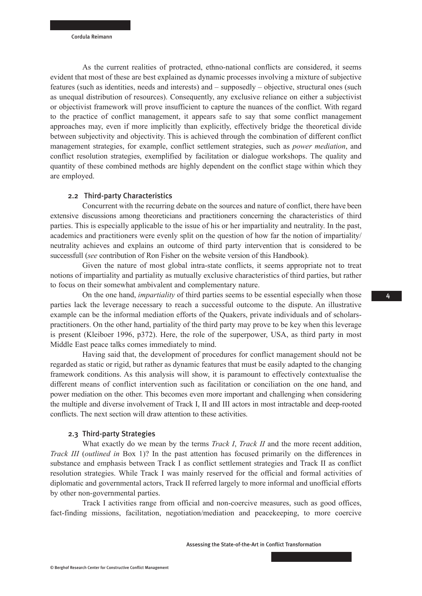As the current realities of protracted, ethno-national conflicts are considered, it seems evident that most of these are best explained as dynamic processes involving a mixture of subjective features (such as identities, needs and interests) and – supposedly – objective, structural ones (such as unequal distribution of resources). Consequently, any exclusive reliance on either a subjectivist or objectivist framework will prove insufficient to capture the nuances of the conflict. With regard to the practice of conflict management, it appears safe to say that some conflict management approaches may, even if more implicitly than explicitly, effectively bridge the theoretical divide between subjectivity and objectivity. This is achieved through the combination of different conflict management strategies, for example, conflict settlement strategies, such as *power mediation*, and conflict resolution strategies, exemplified by facilitation or dialogue workshops. The quality and quantity of these combined methods are highly dependent on the conflict stage within which they are employed.

#### 2.2 Third-party Characteristics

Concurrent with the recurring debate on the sources and nature of conflict, there have been extensive discussions among theoreticians and practitioners concerning the characteristics of third parties. This is especially applicable to the issue of his or her impartiality and neutrality. In the past, academics and practitioners were evenly split on the question of how far the notion of impartiality/ neutrality achieves and explains an outcome of third party intervention that is considered to be successfull (*see* contribution of Ron Fisher on the website version of this Handbook).

Given the nature of most global intra-state conflicts, it seems appropriate not to treat notions of impartiality and partiality as mutually exclusive characteristics of third parties, but rather to focus on their somewhat ambivalent and complementary nature.

On the one hand, *impartiality* of third parties seems to be essential especially when those parties lack the leverage necessary to reach a successful outcome to the dispute. An illustrative example can be the informal mediation efforts of the Quakers, private individuals and of scholarspractitioners. On the other hand, partiality of the third party may prove to be key when this leverage is present (Kleiboer 1996, p372). Here, the role of the superpower, USA, as third party in most Middle East peace talks comes immediately to mind.

Having said that, the development of procedures for conflict management should not be regarded as static or rigid, but rather as dynamic features that must be easily adapted to the changing framework conditions. As this analysis will show, it is paramount to effectively contextualise the different means of conflict intervention such as facilitation or conciliation on the one hand, and power mediation on the other. This becomes even more important and challenging when considering the multiple and diverse involvement of Track I, II and III actors in most intractable and deep-rooted conflicts. The next section will draw attention to these activities.

#### 2.3 Third-party Strategies

What exactly do we mean by the terms *Track I*, *Track II* and the more recent addition, *Track III* (*outlined in* Box 1)? In the past attention has focused primarily on the differences in substance and emphasis between Track I as conflict settlement strategies and Track II as conflict resolution strategies. While Track I was mainly reserved for the official and formal activities of diplomatic and governmental actors, Track II referred largely to more informal and unofficial efforts by other non-governmental parties.

Track I activities range from official and non-coercive measures, such as good offices, fact-finding missions, facilitation, negotiation/mediation and peacekeeping, to more coercive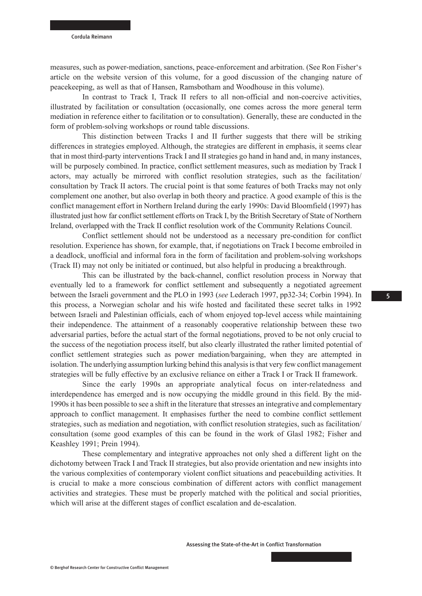measures, such as power-mediation, sanctions, peace-enforcement and arbitration. (See Ron Fisher's article on the website version of this volume, for a good discussion of the changing nature of peacekeeping, as well as that of Hansen, Ramsbotham and Woodhouse in this volume).

In contrast to Track I, Track II refers to all non-official and non-coercive activities, illustrated by facilitation or consultation (occasionally, one comes across the more general term mediation in reference either to facilitation or to consultation). Generally, these are conducted in the form of problem-solving workshops or round table discussions.

This distinction between Tracks I and II further suggests that there will be striking differences in strategies employed. Although, the strategies are different in emphasis, it seems clear that in most third-party interventions Track I and II strategies go hand in hand and, in many instances, will be purposely combined. In practice, conflict settlement measures, such as mediation by Track I actors, may actually be mirrored with conflict resolution strategies, such as the facilitation/ consultation by Track II actors. The crucial point is that some features of both Tracks may not only complement one another, but also overlap in both theory and practice. A good example of this is the conflict management effort in Northern Ireland during the early 1990s: David Bloomfield (1997) has illustrated just how far conflict settlement efforts on Track I, by the British Secretary of State of Northern Ireland, overlapped with the Track II conflict resolution work of the Community Relations Council.

Conflict settlement should not be understood as a necessary pre-condition for conflict resolution. Experience has shown, for example, that, if negotiations on Track I become embroiled in a deadlock, unofficial and informal fora in the form of facilitation and problem-solving workshops (Track II) may not only be initiated or continued, but also helpful in producing a breakthrough.

This can be illustrated by the back-channel, conflict resolution process in Norway that eventually led to a framework for conflict settlement and subsequently a negotiated agreement between the Israeli government and the PLO in 1993 (*see* Lederach 1997, pp32-34; Corbin 1994). In this process, a Norwegian scholar and his wife hosted and facilitated these secret talks in 1992 between Israeli and Palestinian officials, each of whom enjoyed top-level access while maintaining their independence. The attainment of a reasonably cooperative relationship between these two adversarial parties, before the actual start of the formal negotiations, proved to be not only crucial to the success of the negotiation process itself, but also clearly illustrated the rather limited potential of conflict settlement strategies such as power mediation/bargaining, when they are attempted in isolation. The underlying assumption lurking behind this analysis is that very few conflict management strategies will be fully effective by an exclusive reliance on either a Track I or Track II framework.

Since the early 1990s an appropriate analytical focus on inter-relatedness and interdependence has emerged and is now occupying the middle ground in this field. By the mid-1990s it has been possible to see a shift in the literature that stresses an integrative and complementary approach to conflict management. It emphasises further the need to combine conflict settlement strategies, such as mediation and negotiation, with conflict resolution strategies, such as facilitation/ consultation (some good examples of this can be found in the work of Glasl 1982; Fisher and Keashley 1991; Prein 1994).

These complementary and integrative approaches not only shed a different light on the dichotomy between Track I and Track II strategies, but also provide orientation and new insights into the various complexities of contemporary violent conflict situations and peacebuilding activities. It is crucial to make a more conscious combination of different actors with conflict management activities and strategies. These must be properly matched with the political and social priorities, which will arise at the different stages of conflict escalation and de-escalation.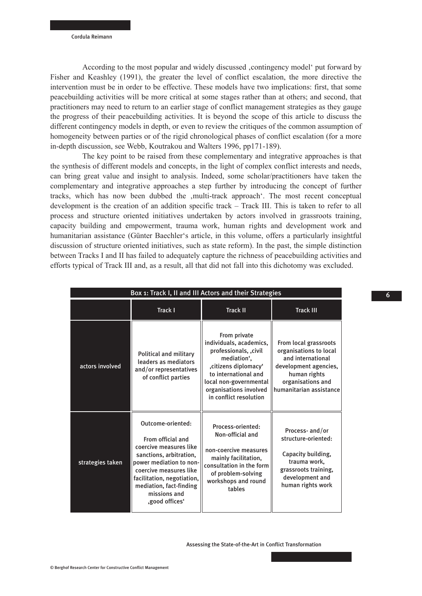According to the most popular and widely discussed , contingency model 'put forward by Fisher and Keashley (1991), the greater the level of conflict escalation, the more directive the intervention must be in order to be effective. These models have two implications: first, that some peacebuilding activities will be more critical at some stages rather than at others; and second, that practitioners may need to return to an earlier stage of conflict management strategies as they gauge the progress of their peacebuilding activities. It is beyond the scope of this article to discuss the different contingency models in depth, or even to review the critiques of the common assumption of homogeneity between parties or of the rigid chronological phases of conflict escalation (for a more in-depth discussion, see Webb, Koutrakou and Walters 1996, pp171-189).

The key point to be raised from these complementary and integrative approaches is that the synthesis of different models and concepts, in the light of complex conflict interests and needs, can bring great value and insight to analysis. Indeed, some scholar/practitioners have taken the complementary and integrative approaches a step further by introducing the concept of further tracks, which has now been dubbed the ,multi-track approach'. The most recent conceptual development is the creation of an addition specific track – Track III. This is taken to refer to all process and structure oriented initiatives undertaken by actors involved in grassroots training, capacity building and empowerment, trauma work, human rights and development work and humanitarian assistance (Günter Baechler's article, in this volume, offers a particularly insightful discussion of structure oriented initiatives, such as state reform). In the past, the simple distinction between Tracks I and II has failed to adequately capture the richness of peacebuilding activities and efforts typical of Track III and, as a result, all that did not fall into this dichotomy was excluded.

| Box 1: Track I, II and III Actors and their Strategies |                                                                                                                                                                                                                                             |                                                                                                                                                                                                                             |                                                                                                                                                               |  |  |
|--------------------------------------------------------|---------------------------------------------------------------------------------------------------------------------------------------------------------------------------------------------------------------------------------------------|-----------------------------------------------------------------------------------------------------------------------------------------------------------------------------------------------------------------------------|---------------------------------------------------------------------------------------------------------------------------------------------------------------|--|--|
|                                                        | <b>Track I</b>                                                                                                                                                                                                                              | <b>Track II</b>                                                                                                                                                                                                             | <b>Track III</b>                                                                                                                                              |  |  |
| actors involved                                        | Political and military<br>leaders as mediators<br>and/or representatives<br>of conflict parties                                                                                                                                             | From private<br>individuals, academics,<br>professionals, , civil<br>mediation',<br>, citizens diplomacy <sup>*</sup><br>to international and<br>local non-governmental<br>organisations involved<br>in conflict resolution | From local grassroots<br>organisations to local<br>and international<br>development agencies,<br>human rights<br>organisations and<br>humanitarian assistance |  |  |
| strategies taken                                       | Outcome-oriented:<br>From official and<br>coercive measures like<br>sanctions, arbitration,<br>power mediation to non-<br>coercive measures like<br>facilitation, negotiation,<br>mediation, fact-finding<br>missions and<br>,good offices' | Process-oriented:<br>Non-official and<br>non-coercive measures<br>mainly facilitation,<br>consultation in the form<br>of problem-solving<br>workshops and round<br>tables                                                   | Process- and/or<br>structure-oriented:<br>Capacity building,<br>trauma work,<br>grassroots training,<br>development and<br>human rights work                  |  |  |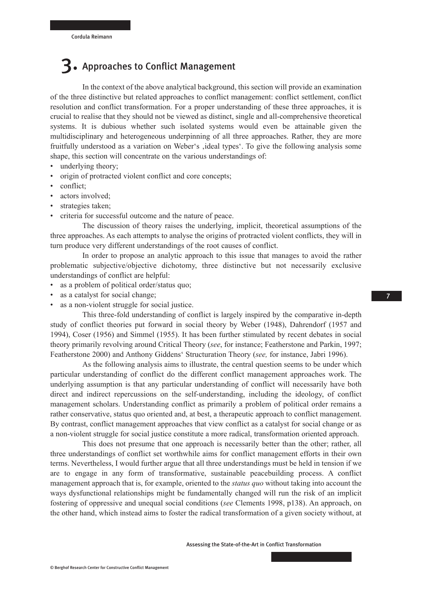# 3. Approaches to Conflict Management

In the context of the above analytical background, this section will provide an examination of the three distinctive but related approaches to conflict management: conflict settlement, conflict resolution and conflict transformation. For a proper understanding of these three approaches, it is crucial to realise that they should not be viewed as distinct, single and all-comprehensive theoretical systems. It is dubious whether such isolated systems would even be attainable given the multidisciplinary and heterogeneous underpinning of all three approaches. Rather, they are more fruitfully understood as a variation on Weber's , ideal types'. To give the following analysis some shape, this section will concentrate on the various understandings of:

- underlying theory;
- origin of protracted violent conflict and core concepts;
- conflict:
- actors involved;
- strategies taken:
- criteria for successful outcome and the nature of peace.

The discussion of theory raises the underlying, implicit, theoretical assumptions of the three approaches. As each attempts to analyse the origins of protracted violent conflicts, they will in turn produce very different understandings of the root causes of conflict.

In order to propose an analytic approach to this issue that manages to avoid the rather problematic subjective/objective dichotomy, three distinctive but not necessarily exclusive understandings of conflict are helpful:

- as a problem of political order/status quo;
- as a catalyst for social change;
- as a non-violent struggle for social justice.

This three-fold understanding of conflict is largely inspired by the comparative in-depth study of conflict theories put forward in social theory by Weber (1948), Dahrendorf (1957 and 1994), Coser (1956) and Simmel (1955). It has been further stimulated by recent debates in social theory primarily revolving around Critical Theory (*see*, for instance; Featherstone and Parkin, 1997; Featherstone 2000) and Anthony Giddens' Structuration Theory (*see,* for instance, Jabri 1996).

As the following analysis aims to illustrate, the central question seems to be under which particular understanding of conflict do the different conflict management approaches work. The underlying assumption is that any particular understanding of conflict will necessarily have both direct and indirect repercussions on the self-understanding, including the ideology, of conflict management scholars. Understanding conflict as primarily a problem of political order remains a rather conservative, status quo oriented and, at best, a therapeutic approach to conflict management. By contrast, conflict management approaches that view conflict as a catalyst for social change or as a non-violent struggle for social justice constitute a more radical, transformation oriented approach.

This does not presume that one approach is necessarily better than the other; rather, all three understandings of conflict set worthwhile aims for conflict management efforts in their own terms. Nevertheless, I would further argue that all three understandings must be held in tension if we are to engage in any form of transformative, sustainable peacebuilding process. A conflict management approach that is, for example, oriented to the *status quo* without taking into account the ways dysfunctional relationships might be fundamentally changed will run the risk of an implicit fostering of oppressive and unequal social conditions (*see* Clements 1998, p138). An approach, on the other hand, which instead aims to foster the radical transformation of a given society without, at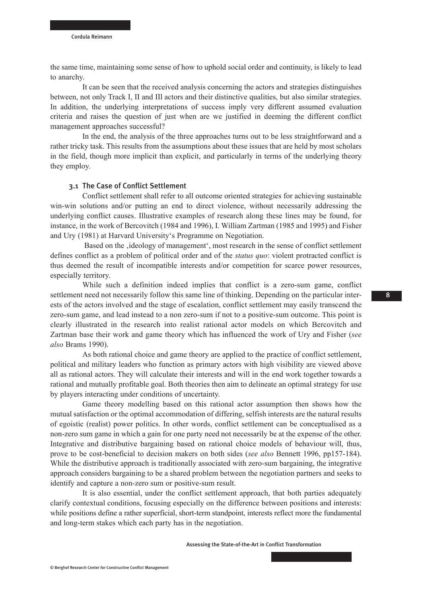the same time, maintaining some sense of how to uphold social order and continuity, is likely to lead to anarchy.

It can be seen that the received analysis concerning the actors and strategies distinguishes between, not only Track I, II and IIl actors and their distinctive qualities, but also similar strategies. In addition, the underlying interpretations of success imply very different assumed evaluation criteria and raises the question of just when are we justified in deeming the different conflict management approaches successful?

In the end, the analysis of the three approaches turns out to be less straightforward and a rather tricky task. This results from the assumptions about these issues that are held by most scholars in the field, though more implicit than explicit, and particularly in terms of the underlying theory they employ.

#### 3.1 The Case of Conflict Settlement

Conflict settlement shall refer to all outcome oriented strategies for achieving sustainable win-win solutions and/or putting an end to direct violence, without necessarily addressing the underlying conflict causes. Illustrative examples of research along these lines may be found, for instance, in the work of Bercovitch (1984 and 1996), I. William Zartman (1985 and 1995) and Fisher and Ury (1981) at Harvard University's Programme on Negotiation.

 Based on the 'ideology of management', most research in the sense of conflict settlement defines conflict as a problem of political order and of the *status quo*: violent protracted conflict is thus deemed the result of incompatible interests and/or competition for scarce power resources, especially territory.

While such a definition indeed implies that conflict is a zero-sum game, conflict settlement need not necessarily follow this same line of thinking. Depending on the particular interests of the actors involved and the stage of escalation, conflict settlement may easily transcend the zero-sum game, and lead instead to a non zero-sum if not to a positive-sum outcome. This point is clearly illustrated in the research into realist rational actor models on which Bercovitch and Zartman base their work and game theory which has influenced the work of Ury and Fisher (*see also* Brams 1990).

As both rational choice and game theory are applied to the practice of conflict settlement, political and military leaders who function as primary actors with high visibility are viewed above all as rational actors. They will calculate their interests and will in the end work together towards a rational and mutually profitable goal. Both theories then aim to delineate an optimal strategy for use by players interacting under conditions of uncertainty.

Game theory modelling based on this rational actor assumption then shows how the mutual satisfaction or the optimal accommodation of differing, selfish interests are the natural results of egoistic (realist) power politics. In other words, conflict settlement can be conceptualised as a non-zero sum game in which a gain for one party need not necessarily be at the expense of the other. Integrative and distributive bargaining based on rational choice models of behaviour will, thus, prove to be cost-beneficial to decision makers on both sides (*see also* Bennett 1996, pp157-184). While the distributive approach is traditionally associated with zero-sum bargaining, the integrative approach considers bargaining to be a shared problem between the negotiation partners and seeks to identify and capture a non-zero sum or positive-sum result.

It is also essential, under the conflict settlement approach, that both parties adequately clarify contextual conditions, focusing especially on the difference between positions and interests: while positions define a rather superficial, short-term standpoint, interests reflect more the fundamental and long-term stakes which each party has in the negotiation.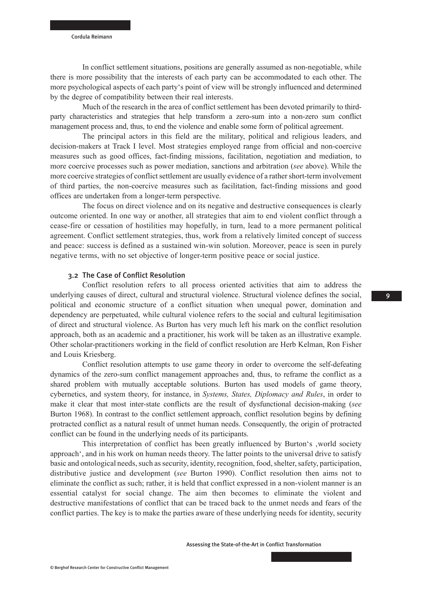In conflict settlement situations, positions are generally assumed as non-negotiable, while there is more possibility that the interests of each party can be accommodated to each other. The more psychological aspects of each party's point of view will be strongly influenced and determined by the degree of compatibility between their real interests.

Much of the research in the area of conflict settlement has been devoted primarily to thirdparty characteristics and strategies that help transform a zero-sum into a non-zero sum conflict management process and, thus, to end the violence and enable some form of political agreement.

The principal actors in this field are the military, political and religious leaders, and decision-makers at Track I level. Most strategies employed range from official and non-coercive measures such as good offices, fact-finding missions, facilitation, negotiation and mediation, to more coercive processes such as power mediation, sanctions and arbitration (*see* above). While the more coercive strategies of conflict settlement are usually evidence of a rather short-term involvement of third parties, the non-coercive measures such as facilitation, fact-finding missions and good offices are undertaken from a longer-term perspective.

The focus on direct violence and on its negative and destructive consequences is clearly outcome oriented. In one way or another, all strategies that aim to end violent conflict through a cease-fire or cessation of hostilities may hopefully, in turn, lead to a more permanent political agreement. Conflict settlement strategies, thus, work from a relatively limited concept of success and peace: success is defined as a sustained win-win solution. Moreover, peace is seen in purely negative terms, with no set objective of longer-term positive peace or social justice.

#### 3.2 The Case of Conflict Resolution

Conflict resolution refers to all process oriented activities that aim to address the underlying causes of direct, cultural and structural violence. Structural violence defines the social, political and economic structure of a conflict situation when unequal power, domination and dependency are perpetuated, while cultural violence refers to the social and cultural legitimisation of direct and structural violence. As Burton has very much left his mark on the conflict resolution approach, both as an academic and a practitioner, his work will be taken as an illustrative example. Other scholar-practitioners working in the field of conflict resolution are Herb Kelman, Ron Fisher and Louis Kriesberg.

Conflict resolution attempts to use game theory in order to overcome the self-defeating dynamics of the zero-sum conflict management approaches and, thus, to reframe the conflict as a shared problem with mutually acceptable solutions. Burton has used models of game theory, cybernetics, and system theory, for instance, in *Systems, States, Diplomacy and Rules*, in order to make it clear that most inter-state conflicts are the result of dysfunctional decision-making (*see* Burton 1968). In contrast to the conflict settlement approach, conflict resolution begins by defining protracted conflict as a natural result of unmet human needs. Consequently, the origin of protracted conflict can be found in the underlying needs of its participants.

This interpretation of conflict has been greatly influenced by Burton's 'world society approach', and in his work on human needs theory. The latter points to the universal drive to satisfy basic and ontological needs, such as security, identity, recognition, food, shelter, safety, participation, distributive justice and development (*see* Burton 1990). Conflict resolution then aims not to eliminate the conflict as such; rather, it is held that conflict expressed in a non-violent manner is an essential catalyst for social change. The aim then becomes to eliminate the violent and destructive manifestations of conflict that can be traced back to the unmet needs and fears of the conflict parties. The key is to make the parties aware of these underlying needs for identity, security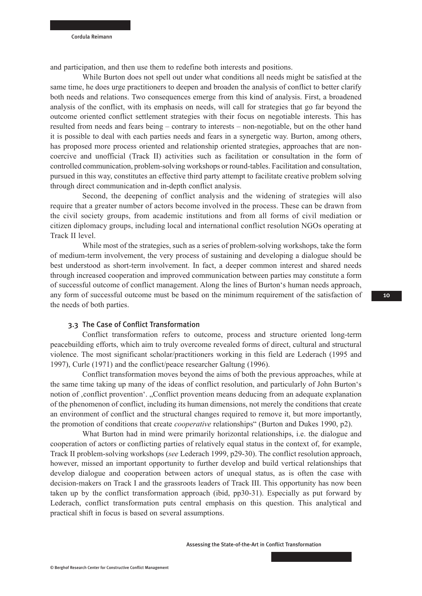and participation, and then use them to redefine both interests and positions.

While Burton does not spell out under what conditions all needs might be satisfied at the same time, he does urge practitioners to deepen and broaden the analysis of conflict to better clarify both needs and relations. Two consequences emerge from this kind of analysis. First, a broadened analysis of the conflict, with its emphasis on needs, will call for strategies that go far beyond the outcome oriented conflict settlement strategies with their focus on negotiable interests. This has resulted from needs and fears being – contrary to interests – non-negotiable, but on the other hand it is possible to deal with each parties needs and fears in a synergetic way. Burton, among others, has proposed more process oriented and relationship oriented strategies, approaches that are noncoercive and unofficial (Track II) activities such as facilitation or consultation in the form of controlled communication, problem-solving workshops or round-tables. Facilitation and consultation, pursued in this way, constitutes an effective third party attempt to facilitate creative problem solving through direct communication and in-depth conflict analysis.

Second, the deepening of conflict analysis and the widening of strategies will also require that a greater number of actors become involved in the process. These can be drawn from the civil society groups, from academic institutions and from all forms of civil mediation or citizen diplomacy groups, including local and international conflict resolution NGOs operating at Track II level.

While most of the strategies, such as a series of problem-solving workshops, take the form of medium-term involvement, the very process of sustaining and developing a dialogue should be best understood as short-term involvement. In fact, a deeper common interest and shared needs through increased cooperation and improved communication between parties may constitute a form of successful outcome of conflict management. Along the lines of Burton's human needs approach, any form of successful outcome must be based on the minimum requirement of the satisfaction of the needs of both parties.

#### 3.3 The Case of Conflict Transformation

Conflict transformation refers to outcome, process and structure oriented long-term peacebuilding efforts, which aim to truly overcome revealed forms of direct, cultural and structural violence. The most significant scholar/practitioners working in this field are Lederach (1995 and 1997), Curle (1971) and the conflict/peace researcher Galtung (1996).

Conflict transformation moves beyond the aims of both the previous approaches, while at the same time taking up many of the ideas of conflict resolution, and particularly of John Burton's notion of , conflict provention'. "Conflict provention means deducing from an adequate explanation of the phenomenon of conflict, including its human dimensions, not merely the conditions that create an environment of conflict and the structural changes required to remove it, but more importantly, the promotion of conditions that create *cooperative* relationships" (Burton and Dukes 1990, p2).

What Burton had in mind were primarily horizontal relationships, i.e. the dialogue and cooperation of actors or conflicting parties of relatively equal status in the context of, for example, Track II problem-solving workshops (*see* Lederach 1999, p29-30). The conflict resolution approach, however, missed an important opportunity to further develop and build vertical relationships that develop dialogue and cooperation between actors of unequal status, as is often the case with decision-makers on Track I and the grassroots leaders of Track III. This opportunity has now been taken up by the conflict transformation approach (ibid, pp30-31). Especially as put forward by Lederach, conflict transformation puts central emphasis on this question. This analytical and practical shift in focus is based on several assumptions.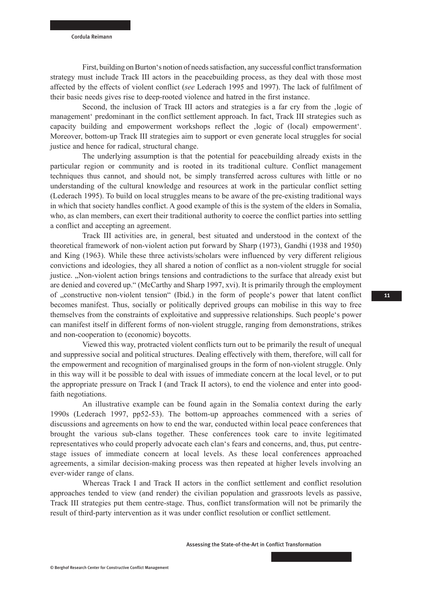First, building on Burton's notion of needs satisfaction, any successful conflict transformation strategy must include Track III actors in the peacebuilding process, as they deal with those most affected by the effects of violent conflict (*see* Lederach 1995 and 1997). The lack of fulfilment of their basic needs gives rise to deep-rooted violence and hatred in the first instance.

Second, the inclusion of Track III actors and strategies is a far cry from the logic of management' predominant in the conflict settlement approach. In fact, Track III strategies such as capacity building and empowerment workshops reflect the 'logic of (local) empowerment'. Moreover, bottom-up Track III strategies aim to support or even generate local struggles for social justice and hence for radical, structural change.

The underlying assumption is that the potential for peacebuilding already exists in the particular region or community and is rooted in its traditional culture. Conflict management techniques thus cannot, and should not, be simply transferred across cultures with little or no understanding of the cultural knowledge and resources at work in the particular conflict setting (Lederach 1995). To build on local struggles means to be aware of the pre-existing traditional ways in which that society handles conflict. A good example of this is the system of the elders in Somalia, who, as clan members, can exert their traditional authority to coerce the conflict parties into settling a conflict and accepting an agreement.

Track III activities are, in general, best situated and understood in the context of the theoretical framework of non-violent action put forward by Sharp (1973), Gandhi (1938 and 1950) and King (1963). While these three activists/scholars were influenced by very different religious convictions and ideologies, they all shared a notion of conflict as a non-violent struggle for social justice. "Non-violent action brings tensions and contradictions to the surface that already exist but are denied and covered up." (McCarthy and Sharp 1997, xvi). It is primarily through the employment of "constructive non-violent tension" (Ibid.) in the form of people's power that latent conflict becomes manifest. Thus, socially or politically deprived groups can mobilise in this way to free themselves from the constraints of exploitative and suppressive relationships. Such people's power can manifest itself in different forms of non-violent struggle, ranging from demonstrations, strikes and non-cooperation to (economic) boycotts.

Viewed this way, protracted violent conflicts turn out to be primarily the result of unequal and suppressive social and political structures. Dealing effectively with them, therefore, will call for the empowerment and recognition of marginalised groups in the form of non-violent struggle. Only in this way will it be possible to deal with issues of immediate concern at the local level, or to put the appropriate pressure on Track I (and Track II actors), to end the violence and enter into goodfaith negotiations.

An illustrative example can be found again in the Somalia context during the early 1990s (Lederach 1997, pp52-53). The bottom-up approaches commenced with a series of discussions and agreements on how to end the war, conducted within local peace conferences that brought the various sub-clans together. These conferences took care to invite legitimated representatives who could properly advocate each clan's fears and concerns, and, thus, put centrestage issues of immediate concern at local levels. As these local conferences approached agreements, a similar decision-making process was then repeated at higher levels involving an ever-wider range of clans.

Whereas Track I and Track II actors in the conflict settlement and conflict resolution approaches tended to view (and render) the civilian population and grassroots levels as passive, Track III strategies put them centre-stage. Thus, conflict transformation will not be primarily the result of third-party intervention as it was under conflict resolution or conflict settlement.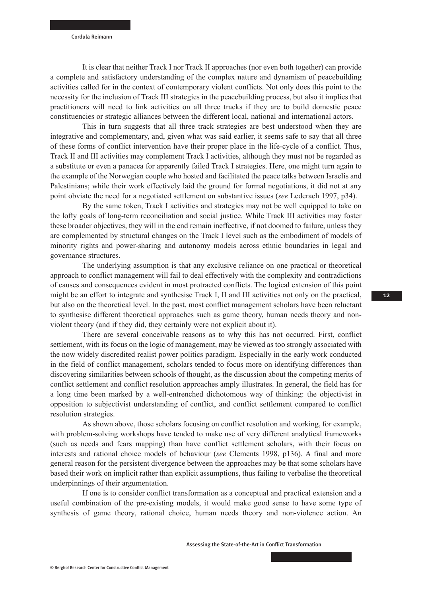It is clear that neither Track I nor Track II approaches (nor even both together) can provide a complete and satisfactory understanding of the complex nature and dynamism of peacebuilding activities called for in the context of contemporary violent conflicts. Not only does this point to the necessity for the inclusion of Track III strategies in the peacebuilding process, but also it implies that practitioners will need to link activities on all three tracks if they are to build domestic peace constituencies or strategic alliances between the different local, national and international actors.

This in turn suggests that all three track strategies are best understood when they are integrative and complementary, and, given what was said earlier, it seems safe to say that all three of these forms of conflict intervention have their proper place in the life-cycle of a conflict. Thus, Track II and III activities may complement Track I activities, although they must not be regarded as a substitute or even a panacea for apparently failed Track I strategies. Here, one might turn again to the example of the Norwegian couple who hosted and facilitated the peace talks between Israelis and Palestinians; while their work effectively laid the ground for formal negotiations, it did not at any point obviate the need for a negotiated settlement on substantive issues (*see* Lederach 1997, p34).

By the same token, Track I activities and strategies may not be well equipped to take on the lofty goals of long-term reconciliation and social justice. While Track III activities may foster these broader objectives, they will in the end remain ineffective, if not doomed to failure, unless they are complemented by structural changes on the Track I level such as the embodiment of models of minority rights and power-sharing and autonomy models across ethnic boundaries in legal and governance structures.

The underlying assumption is that any exclusive reliance on one practical or theoretical approach to conflict management will fail to deal effectively with the complexity and contradictions of causes and consequences evident in most protracted conflicts. The logical extension of this point might be an effort to integrate and synthesise Track I, II and III activities not only on the practical, but also on the theoretical level. In the past, most conflict management scholars have been reluctant to synthesise different theoretical approaches such as game theory, human needs theory and nonviolent theory (and if they did, they certainly were not explicit about it).

There are several conceivable reasons as to why this has not occurred. First, conflict settlement, with its focus on the logic of management, may be viewed as too strongly associated with the now widely discredited realist power politics paradigm. Especially in the early work conducted in the field of conflict management, scholars tended to focus more on identifying differences than discovering similarities between schools of thought, as the discussion about the competing merits of conflict settlement and conflict resolution approaches amply illustrates. In general, the field has for a long time been marked by a well-entrenched dichotomous way of thinking: the objectivist in opposition to subjectivist understanding of conflict, and conflict settlement compared to conflict resolution strategies.

As shown above, those scholars focusing on conflict resolution and working, for example, with problem-solving workshops have tended to make use of very different analytical frameworks (such as needs and fears mapping) than have conflict settlement scholars, with their focus on interests and rational choice models of behaviour (*see* Clements 1998, p136). A final and more general reason for the persistent divergence between the approaches may be that some scholars have based their work on implicit rather than explicit assumptions, thus failing to verbalise the theoretical underpinnings of their argumentation.

If one is to consider conflict transformation as a conceptual and practical extension and a useful combination of the pre-existing models, it would make good sense to have some type of synthesis of game theory, rational choice, human needs theory and non-violence action. An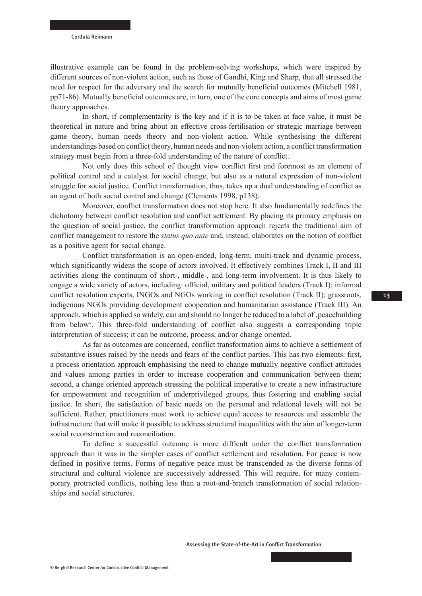illustrative example can be found in the problem-solving workshops, which were inspired by different sources of non-violent action, such as those of Gandhi, King and Sharp, that all stressed the need for respect for the adversary and the search for mutually beneficial outcomes (Mitchell 1981, pp71-86). Mutually beneficial outcomes are, in turn, one of the core concepts and aims of most game theory approaches.

In short, if complementarity is the key and if it is to be taken at face value, it must be theoretical in nature and bring about an effective cross-fertilisation or strategic marriage between game theory, human needs theory and non-violent action. While synthesising the different understandings based on conflict theory, human needs and non-violent action, a conflict transformation strategy must begin from a three-fold understanding of the nature of conflict.

Not only does this school of thought view conflict first and foremost as an element of political control and a catalyst for social change, but also as a natural expression of non-violent struggle for social justice. Conflict transformation, thus, takes up a dual understanding of conflict as an agent of both social control and change (Clements 1998, p138).

Moreover, conflict transformation does not stop here. It also fundamentally redefines the dichotomy between conflict resolution and conflict settlement. By placing its primary emphasis on the question of social justice, the conflict transformation approach rejects the traditional aim of conflict management to restore the *status quo ante* and, instead, elaborates on the notion of conflict as a positive agent for social change.

Conflict transformation is an open-ended, long-term, multi-track and dynamic process, which significantly widens the scope of actors involved. It effectively combines Track I, II and III activities along the continuum of short-, middle-, and long-term involvement. It is thus likely to engage a wide variety of actors, including: official, military and political leaders (Track I); informal conflict resolution experts, INGOs and NGOs working in conflict resolution (Track II); grassroots, indigenous NGOs providing development cooperation and humanitarian assistance (Track III). An approach, which is applied so widely, can and should no longer be reduced to a label of , peacebuilding from below'. This three-fold understanding of conflict also suggests a corresponding triple interpretation of success; it can be outcome, process, and/or change oriented.

As far as outcomes are concerned, conflict transformation aims to achieve a settlement of substantive issues raised by the needs and fears of the conflict parties. This has two elements: first, a process orientation approach emphasising the need to change mutually negative conflict attitudes and values among parties in order to increase cooperation and communication between them; second, a change oriented approach stressing the political imperative to create a new infrastructure for empowerment and recognition of underprivileged groups, thus fostering and enabling social justice. In short, the satisfaction of basic needs on the personal and relational levels will not be sufficient. Rather, practitioners must work to achieve equal access to resources and assemble the infrastructure that will make it possible to address structural inequalities with the aim of longer-term social reconstruction and reconciliation.

To define a successful outcome is more difficult under the conflict transformation approach than it was in the simpler cases of conflict settlement and resolution. For peace is now defined in positive terms. Forms of negative peace must be transcended as the diverse forms of structural and cultural violence are successively addressed. This will require, for many contemporary protracted conflicts, nothing less than a root-and-branch transformation of social relationships and social structures.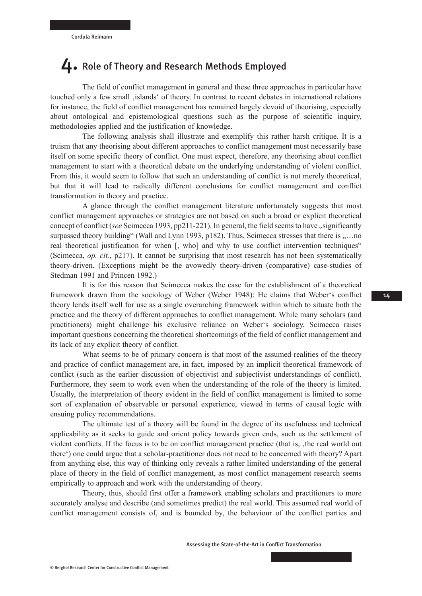## 4. Role of Theory and Research Methods Employed

The field of conflict management in general and these three approaches in particular have touched only a few small , islands' of theory. In contrast to recent debates in international relations for instance, the field of conflict management has remained largely devoid of theorising, especially about ontological and epistemological questions such as the purpose of scientific inquiry, methodologies applied and the justification of knowledge.

The following analysis shall illustrate and exemplify this rather harsh critique. It is a truism that any theorising about different approaches to conflict management must necessarily base itself on some specific theory of conflict. One must expect, therefore, any theorising about conflict management to start with a theoretical debate on the underlying understanding of violent conflict. From this, it would seem to follow that such an understanding of conflict is not merely theoretical, but that it will lead to radically different conclusions for conflict management and conflict transformation in theory and practice.

A glance through the conflict management literature unfortunately suggests that most conflict management approaches or strategies are not based on such a broad or explicit theoretical concept of conflict (*see* Scimecca 1993, pp211-221). In general, the field seems to have "significantly surpassed theory building" (Wall and Lynn 1993, p182). Thus, Scimecca stresses that there is  $,...no$ real theoretical justification for when [, who] and why to use conflict intervention techniques" (Scimecca, *op. cit.*, p217). It cannot be surprising that most research has not been systematically theory-driven. (Exceptions might be the avowedly theory-driven (comparative) case-studies of Stedman 1991 and Princen 1992.)

It is for this reason that Scimecca makes the case for the establishment of a theoretical framework drawn from the sociology of Weber (Weber 1948): He claims that Weber's conflict theory lends itself well for use as a single overarching framework within which to situate both the practice and the theory of different approaches to conflict management. While many scholars (and practitioners) might challenge his exclusive reliance on Weber's sociology, Scimecca raises important questions concerning the theoretical shortcomings of the field of conflict management and its lack of any explicit theory of conflict.

What seems to be of primary concern is that most of the assumed realities of the theory and practice of conflict management are, in fact, imposed by an implicit theoretical framework of conflict (such as the earlier discussion of objectivist and subjectivist understandings of conflict). Furthermore, they seem to work even when the understanding of the role of the theory is limited. Usually, the interpretation of theory evident in the field of conflict management is limited to some sort of explanation of observable or personal experience, viewed in terms of causal logic with ensuing policy recommendations.

The ultimate test of a theory will be found in the degree of its usefulness and technical applicability as it seeks to guide and orient policy towards given ends, such as the settlement of violent conflicts. If the focus is to be on conflict management practice (that is, 'the real world out there') one could argue that a scholar-practitioner does not need to be concerned with theory? Apart from anything else, this way of thinking only reveals a rather limited understanding of the general place of theory in the field of conflict management, as most conflict management research seems empirically to approach and work with the understanding of theory.

Theory, thus, should first offer a framework enabling scholars and practitioners to more accurately analyse and describe (and sometimes predict) the real world. This assumed real world of conflict management consists of, and is bounded by, the behaviour of the conflict parties and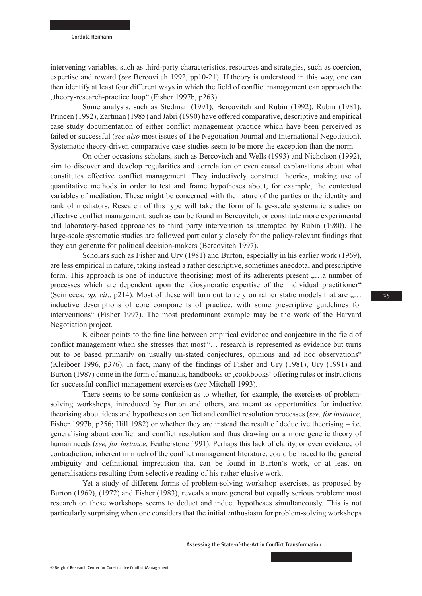intervening variables, such as third-party characteristics, resources and strategies, such as coercion, expertise and reward (*see* Bercovitch 1992, pp10-21). If theory is understood in this way, one can then identify at least four different ways in which the field of conflict management can approach the "theory-research-practice loop" (Fisher 1997b, p263).

Some analysts, such as Stedman (1991), Bercovitch and Rubin (1992), Rubin (1981), Princen (1992), Zartman (1985) and Jabri (1990) have offered comparative, descriptive and empirical case study documentation of either conflict management practice which have been perceived as failed or successful (*see also* most issues of The Negotiation Journal and International Negotiation). Systematic theory-driven comparative case studies seem to be more the exception than the norm.

On other occasions scholars, such as Bercovitch and Wells (1993) and Nicholson (1992), aim to discover and develop regularities and correlation or even causal explanations about what constitutes effective conflict management. They inductively construct theories, making use of quantitative methods in order to test and frame hypotheses about, for example, the contextual variables of mediation. These might be concerned with the nature of the parties or the identity and rank of mediators. Research of this type will take the form of large-scale systematic studies on effective conflict management, such as can be found in Bercovitch, or constitute more experimental and laboratory-based approaches to third party intervention as attempted by Rubin (1980). The large-scale systematic studies are followed particularly closely for the policy-relevant findings that they can generate for political decision-makers (Bercovitch 1997).

Scholars such as Fisher and Ury (1981) and Burton, especially in his earlier work (1969), are less empirical in nature, taking instead a rather descriptive, sometimes anecdotal and prescriptive form. This approach is one of inductive theorising: most of its adherents present .....a number of processes which are dependent upon the idiosyncratic expertise of the individual practitioner" (Scimecca, *op. cit.*, p214). Most of these will turn out to rely on rather static models that are  $\ldots$ . inductive descriptions of core components of practice, with some prescriptive guidelines for interventions" (Fisher 1997). The most predominant example may be the work of the Harvard Negotiation project.

Kleiboer points to the fine line between empirical evidence and conjecture in the field of conflict management when she stresses that most "... research is represented as evidence but turns out to be based primarily on usually un-stated conjectures, opinions and ad hoc observations" (Kleiboer 1996, p376). In fact, many of the findings of Fisher and Ury (1981), Ury (1991) and Burton (1987) come in the form of manuals, handbooks or ,cookbooks' offering rules or instructions for successful conflict management exercises (*see* Mitchell 1993).

There seems to be some confusion as to whether, for example, the exercises of problemsolving workshops, introduced by Burton and others, are meant as opportunities for inductive theorising about ideas and hypotheses on conflict and conflict resolution processes (*see, for instance*, Fisher 1997b, p256; Hill 1982) or whether they are instead the result of deductive theorising – i.e. generalising about conflict and conflict resolution and thus drawing on a more generic theory of human needs (*see, for instance*, Featherstone 1991). Perhaps this lack of clarity, or even evidence of contradiction, inherent in much of the conflict management literature, could be traced to the general ambiguity and definitional imprecision that can be found in Burton's work, or at least on generalisations resulting from selective reading of his rather elusive work.

Yet a study of different forms of problem-solving workshop exercises, as proposed by Burton (1969), (1972) and Fisher (1983), reveals a more general but equally serious problem: most research on these workshops seems to deduct and induct hypotheses simultaneously. This is not particularly surprising when one considers that the initial enthusiasm for problem-solving workshops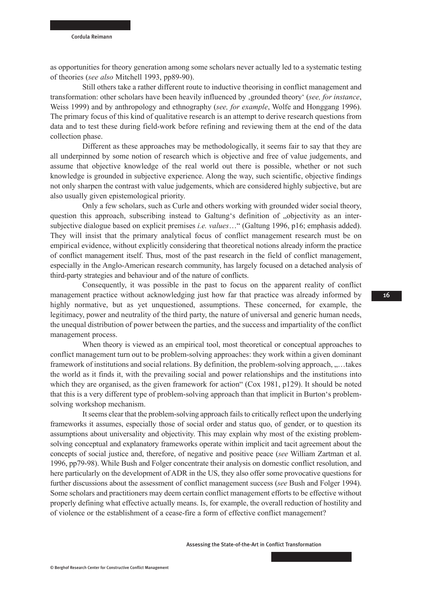as opportunities for theory generation among some scholars never actually led to a systematic testing of theories (*see also* Mitchell 1993, pp89-90).

Still others take a rather different route to inductive theorising in conflict management and transformation: other scholars have been heavily influenced by , grounded theory' (*see, for instance*, Weiss 1999) and by anthropology and ethnography (*see, for example*, Wolfe and Honggang 1996). The primary focus of this kind of qualitative research is an attempt to derive research questions from data and to test these during field-work before refining and reviewing them at the end of the data collection phase.

Different as these approaches may be methodologically, it seems fair to say that they are all underpinned by some notion of research which is objective and free of value judgements, and assume that objective knowledge of the real world out there is possible, whether or not such knowledge is grounded in subjective experience. Along the way, such scientific, objective findings not only sharpen the contrast with value judgements, which are considered highly subjective, but are also usually given epistemological priority.

Only a few scholars, such as Curle and others working with grounded wider social theory, question this approach, subscribing instead to Galtung's definition of "objectivity as an intersubjective dialogue based on explicit premises *i.e. values*…" (Galtung 1996, p16; emphasis added). They will insist that the primary analytical focus of conflict management research must be on empirical evidence, without explicitly considering that theoretical notions already inform the practice of conflict management itself. Thus, most of the past research in the field of conflict management, especially in the Anglo-American research community, has largely focused on a detached analysis of third-party strategies and behaviour and of the nature of conflicts.

Consequently, it was possible in the past to focus on the apparent reality of conflict management practice without acknowledging just how far that practice was already informed by highly normative, but as yet unquestioned, assumptions. These concerned, for example, the legitimacy, power and neutrality of the third party, the nature of universal and generic human needs, the unequal distribution of power between the parties, and the success and impartiality of the conflict management process.

When theory is viewed as an empirical tool, most theoretical or conceptual approaches to conflict management turn out to be problem-solving approaches: they work within a given dominant framework of institutions and social relations. By definition, the problem-solving approach, ... ... takes the world as it finds it, with the prevailing social and power relationships and the institutions into which they are organised, as the given framework for action" (Cox 1981, p129). It should be noted that this is a very different type of problem-solving approach than that implicit in Burton's problemsolving workshop mechanism.

It seems clear that the problem-solving approach fails to critically reflect upon the underlying frameworks it assumes, especially those of social order and status quo, of gender, or to question its assumptions about universality and objectivity. This may explain why most of the existing problemsolving conceptual and explanatory frameworks operate within implicit and tacit agreement about the concepts of social justice and, therefore, of negative and positive peace (*see* William Zartman et al. 1996, pp79-98). While Bush and Folger concentrate their analysis on domestic conflict resolution, and here particularly on the development of ADR in the US, they also offer some provocative questions for further discussions about the assessment of conflict management success (*see* Bush and Folger 1994). Some scholars and practitioners may deem certain conflict management efforts to be effective without properly defining what effective actually means. Is, for example, the overall reduction of hostility and of violence or the establishment of a cease-fire a form of effective conflict management?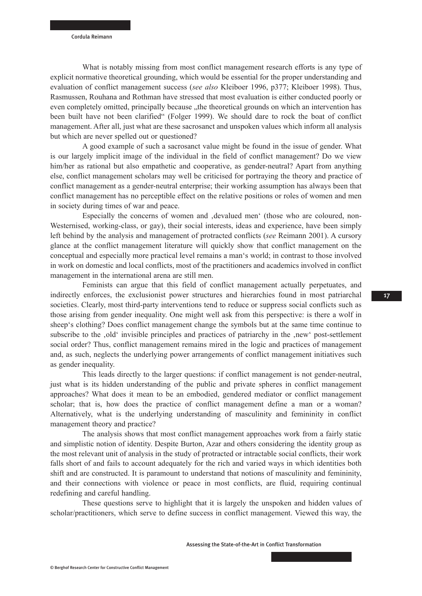What is notably missing from most conflict management research efforts is any type of explicit normative theoretical grounding, which would be essential for the proper understanding and evaluation of conflict management success (*see also* Kleiboer 1996, p377; Kleiboer 1998). Thus, Rasmussen, Rouhana and Rothman have stressed that most evaluation is either conducted poorly or even completely omitted, principally because "the theoretical grounds on which an intervention has been built have not been clarified" (Folger 1999). We should dare to rock the boat of conflict management. After all, just what are these sacrosanct and unspoken values which inform all analysis but which are never spelled out or questioned?

A good example of such a sacrosanct value might be found in the issue of gender. What is our largely implicit image of the individual in the field of conflict management? Do we view him/her as rational but also empathetic and cooperative, as gender-neutral? Apart from anything else, conflict management scholars may well be criticised for portraying the theory and practice of conflict management as a gender-neutral enterprise; their working assumption has always been that conflict management has no perceptible effect on the relative positions or roles of women and men in society during times of war and peace.

Especially the concerns of women and 'devalued men' (those who are coloured, non-Westernised, working-class, or gay), their social interests, ideas and experience, have been simply left behind by the analysis and management of protracted conflicts (*see* Reimann 2001). A cursory glance at the conflict management literature will quickly show that conflict management on the conceptual and especially more practical level remains a man's world; in contrast to those involved in work on domestic and local conflicts, most of the practitioners and academics involved in conflict management in the international arena are still men.

Feminists can argue that this field of conflict management actually perpetuates, and indirectly enforces, the exclusionist power structures and hierarchies found in most patriarchal societies. Clearly, most third-party interventions tend to reduce or suppress social conflicts such as those arising from gender inequality. One might well ask from this perspective: is there a wolf in sheep's clothing? Does conflict management change the symbols but at the same time continue to subscribe to the 'old' invisible principles and practices of patriarchy in the 'new' post-settlement social order? Thus, conflict management remains mired in the logic and practices of management and, as such, neglects the underlying power arrangements of conflict management initiatives such as gender inequality.

This leads directly to the larger questions: if conflict management is not gender-neutral, just what is its hidden understanding of the public and private spheres in conflict management approaches? What does it mean to be an embodied, gendered mediator or conflict management scholar; that is, how does the practice of conflict management define a man or a woman? Alternatively, what is the underlying understanding of masculinity and femininity in conflict management theory and practice?

The analysis shows that most conflict management approaches work from a fairly static and simplistic notion of identity. Despite Burton, Azar and others considering the identity group as the most relevant unit of analysis in the study of protracted or intractable social conflicts, their work falls short of and fails to account adequately for the rich and varied ways in which identities both shift and are constructed. It is paramount to understand that notions of masculinity and femininity, and their connections with violence or peace in most conflicts, are fluid, requiring continual redefining and careful handling.

These questions serve to highlight that it is largely the unspoken and hidden values of scholar/practitioners, which serve to define success in conflict management. Viewed this way, the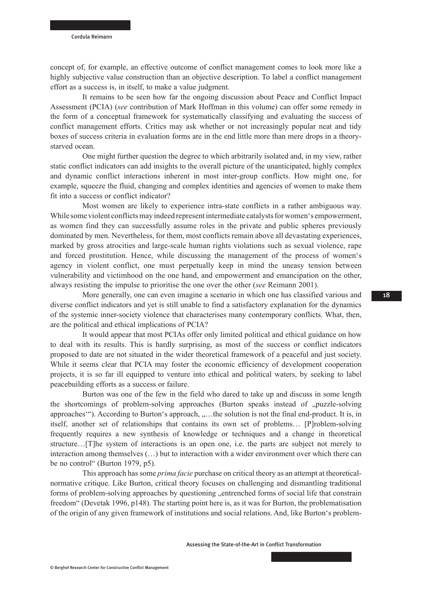concept of, for example, an effective outcome of conflict management comes to look more like a highly subjective value construction than an objective description. To label a conflict management effort as a success is, in itself, to make a value judgment.

It remains to be seen how far the ongoing discussion about Peace and Conflict Impact Assessment (PCIA) (*see* contribution of Mark Hoffman in this volume) can offer some remedy in the form of a conceptual framework for systematically classifying and evaluating the success of conflict management efforts. Critics may ask whether or not increasingly popular neat and tidy boxes of success criteria in evaluation forms are in the end little more than mere drops in a theorystarved ocean.

One might further question the degree to which arbitrarily isolated and, in my view, rather static conflict indicators can add insights to the overall picture of the unanticipated, highly complex and dynamic conflict interactions inherent in most inter-group conflicts. How might one, for example, squeeze the fluid, changing and complex identities and agencies of women to make them fit into a success or conflict indicator?

Most women are likely to experience intra-state conflicts in a rather ambiguous way. While some violent conflicts may indeed represent intermediate catalysts for women's empowerment, as women find they can successfully assume roles in the private and public spheres previously dominated by men. Nevertheless, for them, most conflicts remain above all devastating experiences, marked by gross atrocities and large-scale human rights violations such as sexual violence, rape and forced prostitution. Hence, while discussing the management of the process of women's agency in violent conflict, one must perpetually keep in mind the uneasy tension between vulnerability and victimhood on the one hand, and empowerment and emancipation on the other, always resisting the impulse to prioritise the one over the other (*see* Reimann 2001).

More generally, one can even imagine a scenario in which one has classified various and diverse conflict indicators and yet is still unable to find a satisfactory explanation for the dynamics of the systemic inner-society violence that characterises many contemporary conflicts. What, then, are the political and ethical implications of PCIA?

It would appear that most PCIAs offer only limited political and ethical guidance on how to deal with its results. This is hardly surprising, as most of the success or conflict indicators proposed to date are not situated in the wider theoretical framework of a peaceful and just society. While it seems clear that PCIA may foster the economic efficiency of development cooperation projects, it is so far ill equipped to venture into ethical and political waters, by seeking to label peacebuilding efforts as a success or failure.

Burton was one of the few in the field who dared to take up and discuss in some length the shortcomings of problem-solving approaches (Burton speaks instead of , puzzle-solving approaches"). According to Burton's approach, .... the solution is not the final end-product. It is, in itself, another set of relationships that contains its own set of problems… [P]roblem-solving frequently requires a new synthesis of knowledge or techniques and a change in theoretical structure…[T]he system of interactions is an open one, i.e. the parts are subject not merely to interaction among themselves (…) but to interaction with a wider environment over which there can be no control" (Burton 1979, p5).

This approach has some *prima facie* purchase on critical theory as an attempt at theoreticalnormative critique. Like Burton, critical theory focuses on challenging and dismantling traditional forms of problem-solving approaches by questioning "entrenched forms of social life that constrain freedom" (Devetak 1996, p148). The starting point here is, as it was for Burton, the problematisation of the origin of any given framework of institutions and social relations. And, like Burton's problem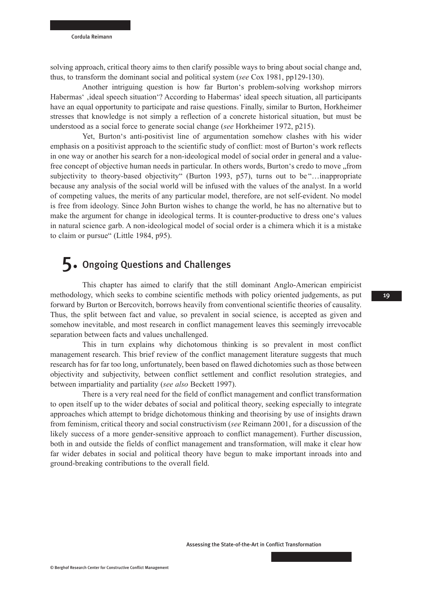solving approach, critical theory aims to then clarify possible ways to bring about social change and, thus, to transform the dominant social and political system (*see* Cox 1981, pp129-130).

Another intriguing question is how far Burton's problem-solving workshop mirrors Habermas' ,ideal speech situation'? According to Habermas' ideal speech situation, all participants have an equal opportunity to participate and raise questions. Finally, similar to Burton, Horkheimer stresses that knowledge is not simply a reflection of a concrete historical situation, but must be understood as a social force to generate social change (*see* Horkheimer 1972, p215).

Yet, Burton's anti-positivist line of argumentation somehow clashes with his wider emphasis on a positivist approach to the scientific study of conflict: most of Burton's work reflects in one way or another his search for a non-ideological model of social order in general and a valuefree concept of objective human needs in particular. In others words, Burton's credo to move "from subjectivity to theory-based objectivity" (Burton 1993, p57), turns out to be "…inappropriate because any analysis of the social world will be infused with the values of the analyst. In a world of competing values, the merits of any particular model, therefore, are not self-evident. No model is free from ideology. Since John Burton wishes to change the world, he has no alternative but to make the argument for change in ideological terms. It is counter-productive to dress one's values in natural science garb. A non-ideological model of social order is a chimera which it is a mistake to claim or pursue" (Little 1984, p95).

## 5. Ongoing Questions and Challenges

This chapter has aimed to clarify that the still dominant Anglo-American empiricist methodology, which seeks to combine scientific methods with policy oriented judgements, as put forward by Burton or Bercovitch, borrows heavily from conventional scientific theories of causality. Thus, the split between fact and value, so prevalent in social science, is accepted as given and somehow inevitable, and most research in conflict management leaves this seemingly irrevocable separation between facts and values unchallenged.

This in turn explains why dichotomous thinking is so prevalent in most conflict management research. This brief review of the conflict management literature suggests that much research has for far too long, unfortunately, been based on flawed dichotomies such as those between objectivity and subjectivity, between conflict settlement and conflict resolution strategies, and between impartiality and partiality (*see also* Beckett 1997).

There is a very real need for the field of conflict management and conflict transformation to open itself up to the wider debates of social and political theory, seeking especially to integrate approaches which attempt to bridge dichotomous thinking and theorising by use of insights drawn from feminism, critical theory and social constructivism (*see* Reimann 2001, for a discussion of the likely success of a more gender-sensitive approach to conflict management). Further discussion, both in and outside the fields of conflict management and transformation, will make it clear how far wider debates in social and political theory have begun to make important inroads into and ground-breaking contributions to the overall field.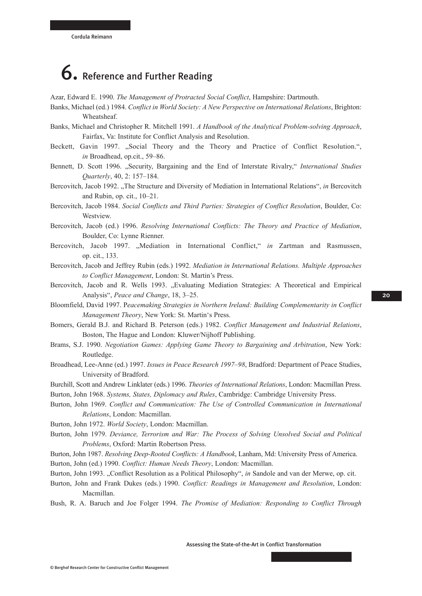# 6. Reference and Further Reading

Azar, Edward E. 1990. *The Management of Protracted Social Conflict*, Hampshire: Dartmouth.

- Banks, Michael (ed.) 1984. *Conflict in World Society: A New Perspective on International Relations*, Brighton: Wheatsheaf.
- Banks, Michael and Christopher R. Mitchell 1991. *A Handbook of the Analytical Problem-solving Approach*, Fairfax, Va: Institute for Conflict Analysis and Resolution.
- Beckett, Gavin 1997. "Social Theory and the Theory and Practice of Conflict Resolution.", *in* Broadhead, op.cit., 59–86.
- Bennett, D. Scott 1996. "Security, Bargaining and the End of Interstate Rivalry," *International Studies Quarterly*, 40, 2: 157–184.
- Bercovitch, Jacob 1992. "The Structure and Diversity of Mediation in International Relations", *in* Bercovitch and Rubin, op. cit., 10–21.
- Bercovitch, Jacob 1984. *Social Conflicts and Third Parties: Strategies of Conflict Resolution*, Boulder, Co: Westview.
- Bercovitch, Jacob (ed.) 1996. *Resolving International Conflicts: The Theory and Practice of Mediation*, Boulder, Co: Lynne Rienner.
- Bercovitch, Jacob 1997. "Mediation in International Conflict," *in* Zartman and Rasmussen, op. cit., 133.
- Bercovitch, Jacob and Jeffrey Rubin (eds.) 1992. *Mediation in International Relations. Multiple Approaches to Conflict Management*, London: St. Martin's Press.
- Bercovitch, Jacob and R. Wells 1993. "Evaluating Mediation Strategies: A Theoretical and Empirical Analysis", *Peace and Change*, 18, 3–25.
- Bloomfield, David 1997. P*eacemaking Strategies in Northern Ireland: Building Complementarity in Conflict Management Theory*, New York: St. Martin's Press.
- Bomers, Gerald B.J. and Richard B. Peterson (eds.) 1982. *Conflict Management and Industrial Relations*, Boston, The Hague and London: Kluwer/Nijhoff Publishing.
- Brams, S.J. 1990. *Negotiation Games: Applying Game Theory to Bargaining and Arbitration*, New York: Routledge.
- Broadhead, Lee-Anne (ed.) 1997. *Issues in Peace Research 1997–98*, Bradford: Department of Peace Studies, University of Bradford.
- Burchill, Scott and Andrew Linklater (eds.) 1996. *Theories of International Relations*, London: Macmillan Press.
- Burton, John 1968. *Systems, States, Diplomacy and Rules*, Cambridge: Cambridge University Press.
- Burton, John 1969. *Conflict and Communication: The Use of Controlled Communication in International Relations*, London: Macmillan.
- Burton, John 1972. *World Society*, London: Macmillan.
- Burton, John 1979. *Deviance, Terrorism and War: The Process of Solving Unsolved Social and Political Problems*, Oxford: Martin Robertson Press.
- Burton, John 1987. *Resolving Deep-Rooted Conflicts: A Handbook*, Lanham, Md: University Press of America. Burton, John (ed.) 1990. *Conflict: Human Needs Theory*, London: Macmillan.
- Burton, John 1993. "Conflict Resolution as a Political Philosophy", *in* Sandole and van der Merwe, op. cit.
- Burton, John and Frank Dukes (eds.) 1990. *Conflict: Readings in Management and Resolution*, London: Macmillan.
- Bush, R. A. Baruch and Joe Folger 1994. *The Promise of Mediation: Responding to Conflict Through*

Assessing the State-of-the-Art in Conflict Transformation

20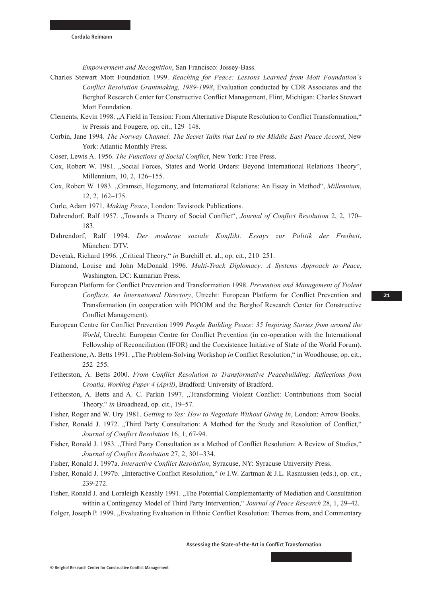*Empowerment and Recognition*, San Francisco: Jossey-Bass.

- Charles Stewart Mott Foundation 1999. *Reaching for Peace: Lessons Learned from Mott Foundation´s Conflict Resolution Grantmaking, 1989-1998*, Evaluation conducted by CDR Associates and the Berghof Research Center for Constructive Conflict Management, Flint, Michigan: Charles Stewart Mott Foundation.
- Clements, Kevin 1998. "A Field in Tension: From Alternative Dispute Resolution to Conflict Transformation," *in* Pressis and Fougere, op. cit., 129–148.
- Corbin, Jane 1994. *The Norway Channel: The Secret Talks that Led to the Middle East Peace Accord*, New York: Atlantic Monthly Press.
- Coser, Lewis A. 1956. *The Functions of Social Conflict*, New York: Free Press.
- Cox, Robert W. 1981. "Social Forces, States and World Orders: Beyond International Relations Theory", Millennium, 10, 2, 126–155.
- Cox, Robert W. 1983. "Gramsci, Hegemony, and International Relations: An Essay in Method", *Millennium*, 12, 2, 162–175.
- Curle, Adam 1971. *Making Peace*, London: Tavistock Publications.
- Dahrendorf, Ralf 1957. "Towards a Theory of Social Conflict", *Journal of Conflict Resolution* 2, 2, 170– 183.
- Dahrendorf, Ralf 1994. *Der moderne soziale Konflikt. Essays zur Politik der Freiheit*, München: DTV.
- Devetak, Richard 1996. "Critical Theory," in Burchill et. al., op. cit., 210–251.
- Diamond, Louise and John McDonald 1996. *Multi-Track Diplomacy: A Systems Approach to Peace*, Washington, DC: Kumarian Press.
- European Platform for Conflict Prevention and Transformation 1998. *Prevention and Management of Violent Conflicts. An International Directory*, Utrecht: European Platform for Conflict Prevention and Transformation (in cooperation with PIOOM and the Berghof Research Center for Constructive Conflict Management).
- European Centre for Conflict Prevention 1999 *People Building Peace: 35 Inspiring Stories from around the World*, Utrecht: European Centre for Conflict Prevention (in co-operation with the International Fellowship of Reconciliation (IFOR) and the Coexistence Initiative of State of the World Forum).
- Featherstone, A. Betts 1991. "The Problem-Solving Workshop in Conflict Resolution," in Woodhouse, op. cit., 252–255.
- Fetherston, A. Betts 2000. *From Conflict Resolution to Transformative Peacebuilding: Reflections from Croatia. Working Paper 4 (April)*, Bradford: University of Bradford.
- Fetherston, A. Betts and A. C. Parkin 1997. "Transforming Violent Conflict: Contributions from Social Theory." *in* Broadhead, op. cit., 19–57.
- Fisher, Roger and W. Ury 1981. *Getting to Yes: How to Negotiate Without Giving In*, London: Arrow Books.
- Fisher, Ronald J. 1972. "Third Party Consultation: A Method for the Study and Resolution of Conflict," *Journal of Conflict Resolution* 16, 1, 67-94.
- Fisher, Ronald J. 1983. "Third Party Consultation as a Method of Conflict Resolution: A Review of Studies," *Journal of Conflict Resolution* 27, 2, 301–334.
- Fisher, Ronald J. 1997a. *Interactive Conflict Resolution*, Syracuse, NY: Syracuse University Press.
- Fisher, Ronald J. 1997b. "Interactive Conflict Resolution," *in* I.W. Zartman & J.L. Rasmussen (eds.), op. cit., 239-272.
- Fisher, Ronald J. and Loraleigh Keashly 1991. "The Potential Complementarity of Mediation and Consultation within a Contingency Model of Third Party Intervention," *Journal of Peace Research* 28, 1, 29–42.
- Folger, Joseph P. 1999. "Evaluating Evaluation in Ethnic Conflict Resolution: Themes from, and Commentary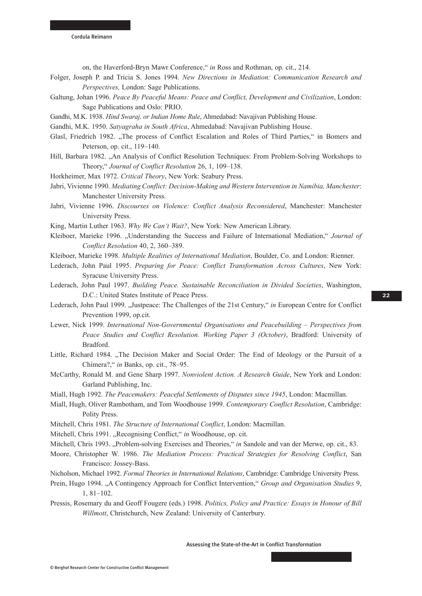on, the Haverford-Bryn Mawr Conference," *in* Ross and Rothman, op. cit., 214.

- Folger, Joseph P. and Tricia S. Jones 1994. *New Directions in Mediation: Communication Research and Perspectives,* London: Sage Publications.
- Galtung, Johan 1996. *Peace By Peaceful Means: Peace and Conflict, Development and Civilization*, London: Sage Publications and Oslo: PRIO.
- Gandhi, M.K. 1938. *Hind Swaraj, or Indian Home Rule*, Ahmedabad: Navajivan Publishing House.
- Gandhi, M.K. 1950. *Satyagraha in South Africa*, Ahmedabad: Navajivan Publishing House.
- Glasl, Friedrich 1982. "The process of Conflict Escalation and Roles of Third Parties," in Bomers and Peterson, op. cit., 119–140.
- Hill, Barbara 1982. "An Analysis of Conflict Resolution Techniques: From Problem-Solving Workshops to Theory," *Journal of Conflict Resolution* 26, 1, 109–138.
- Horkheimer, Max 1972. *Critical Theory*, New York: Seabury Press.
- Jabri, Vivienne 1990. *Mediating Conflict: Decision-Making and Western Intervention in Namibia, Manchester*: Manchester University Press.
- Jabri, Vivienne 1996. *Discourses on Violence: Conflict Analysis Reconsidered*, Manchester: Manchester University Press.
- King, Martin Luther 1963. *Why We Can't Wait?*, New York: New American Library.
- Kleiboer, Marieke 1996. "Understanding the Success and Failure of International Mediation," *Journal of Conflict Resolution* 40, 2, 360–389.
- Kleiboer, Marieke 1998. *Multiple Realities of International Mediation*, Boulder, Co. and London: Rienner.
- Lederach, John Paul 1995. *Preparing for Peace: Conflict Transformation Across Cultures*, New York: Syracuse University Press.
- Lederach, John Paul 1997. *Building Peace. Sustainable Reconciliation in Divided Societies*, Washington, D.C.: United States Institute of Peace Press.

- Lederach, John Paul 1999. "Justpeace: The Challenges of the 21st Century," *in* European Centre for Conflict Prevention 1999, op.cit.
- Lewer, Nick 1999. *International Non-Governmental Organisations and Peacebuilding Perspectives from Peace Studies and Conflict Resolution. Working Paper 3 (October)*, Bradford: University of Bradford.
- Little, Richard 1984. "The Decision Maker and Social Order: The End of Ideology or the Pursuit of a Chimera?," *in* Banks, op. cit., 78–95.
- McCarthy, Ronald M. and Gene Sharp 1997. *Nonviolent Action. A Research Guide*, New York and London: Garland Publishing, Inc.
- Miall, Hugh 1992. *The Peacemakers: Peaceful Settlements of Disputes since 1945*, London: Macmillan.
- Miall, Hugh, Oliver Rambotham, and Tom Woodhouse 1999. *Contemporary Conflict Resolution*, Cambridge: Polity Press.
- Mitchell, Chris 1981. *The Structure of International Conflict*, London: Macmillan.
- Mitchell, Chris 1991. "Recognising Conflict," *in* Woodhouse, op. cit.
- Mitchell, Chris 1993. "Problem-solving Exercises and Theories," *in* Sandole and van der Merwe, op. cit., 83.
- Moore, Christopher W. 1986. *The Mediation Process: Practical Strategies for Resolving Conflict*, San Francisco: Jossey-Bass.
- Nicholson, Michael 1992. *Formal Theories in International Relations*, Cambridge: Cambridge University Press.
- Prein, Hugo 1994. "A Contingency Approach for Conflict Intervention," *Group and Organisation Studies* 9, 1, 81–102.
- Pressis, Rosemary du and Geoff Fougere (eds.) 1998. *Politics, Policy and Practice: Essays in Honour of Bill Willmott*, Christchurch, New Zealand: University of Canterbury.